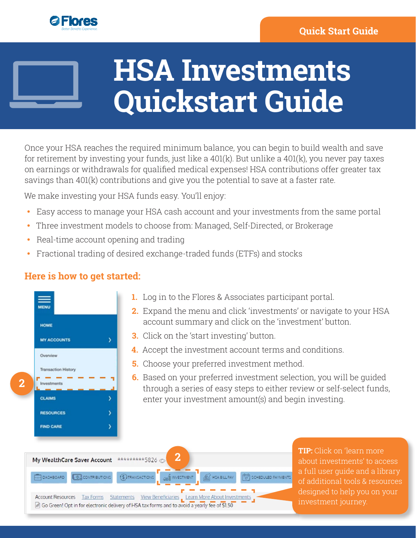

## **HSA Investments Quickstart Guide**

Once your HSA reaches the required minimum balance, you can begin to build wealth and save for retirement by investing your funds, just like a 401(k). But unlike a 401(k), you never pay taxes on earnings or withdrawals for qualified medical expenses! HSA contributions offer greater tax savings than 401(k) contributions and give you the potential to save at a faster rate.

We make investing your HSA funds easy. You'll enjoy:

- Easy access to manage your HSA cash account and your investments from the same portal
- Three investment models to choose from: Managed, Self-Directed, or Brokerage
- Real-time account opening and trading
- Fractional trading of desired exchange-traded funds (ETFs) and stocks

## **Here is how to get started:**

| <b>HOME</b>                |   |
|----------------------------|---|
| <b>MY ACCOUNTS</b>         | 5 |
| Overview                   |   |
| <b>Transaction History</b> |   |
| <b>Investments</b>         |   |
| <b>CLAIMS</b>              | > |
| <b>RESOURCES</b>           | > |
| <b>FIND CARE</b>           | Ÿ |

- **1.** Log in to the Flores & Associates participant portal.
- **2.** Expand the menu and click 'investments' or navigate to your HSA account summary and click on the 'investment' button.
- **3.** Click on the 'start investing' button.
- **4.** Accept the investment account terms and conditions.
- **5.** Choose your preferred investment method.
- **6.** Based on your preferred investment selection, you will be guided through a series of easy steps to either review or self-select funds, enter your investment amount(s) and begin investing.



**TIP:** Click on 'learn more about investments' to access a full user guide and a library of additional tools & resources designed to help you on your investment journey.